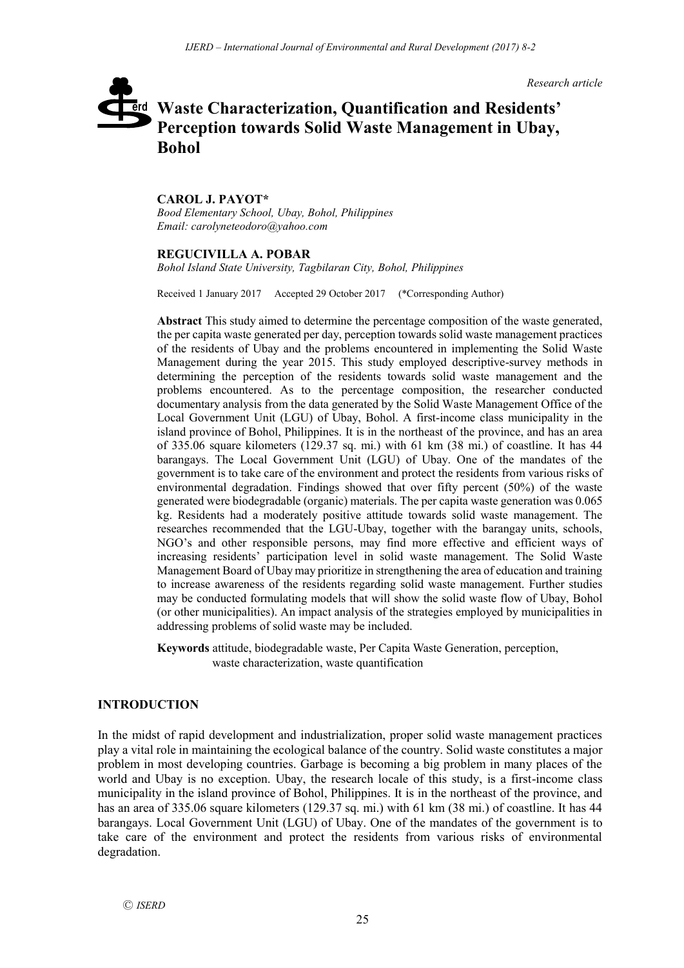*Research article*

# **Waste Characterization, Quantification and Residents'**  erd **Perception towards Solid Waste Management in Ubay, Bohol**

#### **CAROL J. PAYOT\***

*Bood Elementary School, Ubay, Bohol, Philippines Email: carolyneteodoro@yahoo.com*

#### **REGUCIVILLA A. POBAR**

*Bohol Island State University, Tagbilaran City, Bohol, Philippines*

Received 1 January 2017 Accepted 29 October 2017 (\*Corresponding Author)

**Abstract** This study aimed to determine the percentage composition of the waste generated, the per capita waste generated per day, perception towards solid waste management practices of the residents of Ubay and the problems encountered in implementing the Solid Waste Management during the year 2015. This study employed descriptive-survey methods in determining the perception of the residents towards solid waste management and the problems encountered. As to the percentage composition, the researcher conducted documentary analysis from the data generated by the Solid Waste Management Office of the Local Government Unit (LGU) of Ubay, Bohol. A first-income class municipality in the island province of Bohol, Philippines. It is in the northeast of the province, and has an area of 335.06 square kilometers (129.37 sq. mi.) with 61 km (38 mi.) of coastline. It has 44 barangays. The Local Government Unit (LGU) of Ubay. One of the mandates of the government is to take care of the environment and protect the residents from various risks of environmental degradation. Findings showed that over fifty percent (50%) of the waste generated were biodegradable (organic) materials. The per capita waste generation was 0.065 kg. Residents had a moderately positive attitude towards solid waste management. The researches recommended that the LGU-Ubay, together with the barangay units, schools, NGO's and other responsible persons, may find more effective and efficient ways of increasing residents' participation level in solid waste management. The Solid Waste Management Board of Ubay may prioritize in strengthening the area of education and training to increase awareness of the residents regarding solid waste management. Further studies may be conducted formulating models that will show the solid waste flow of Ubay, Bohol (or other municipalities). An impact analysis of the strategies employed by municipalities in addressing problems of solid waste may be included.

**Keywords** attitude, biodegradable waste, Per Capita Waste Generation, perception, waste characterization, waste quantification

## **INTRODUCTION**

In the midst of rapid development and industrialization, proper solid waste management practices play a vital role in maintaining the ecological balance of the country. Solid waste constitutes a major problem in most developing countries. Garbage is becoming a big problem in many places of the world and Ubay is no exception. Ubay, the research locale of this study, is a first-income class municipality in the island province of Bohol, Philippines. It is in the northeast of the province, and has an area of 335.06 square kilometers (129.37 sq. mi.) with 61 km (38 mi.) of coastline. It has 44 barangays. Local Government Unit (LGU) of Ubay. One of the mandates of the government is to take care of the environment and protect the residents from various risks of environmental degradation.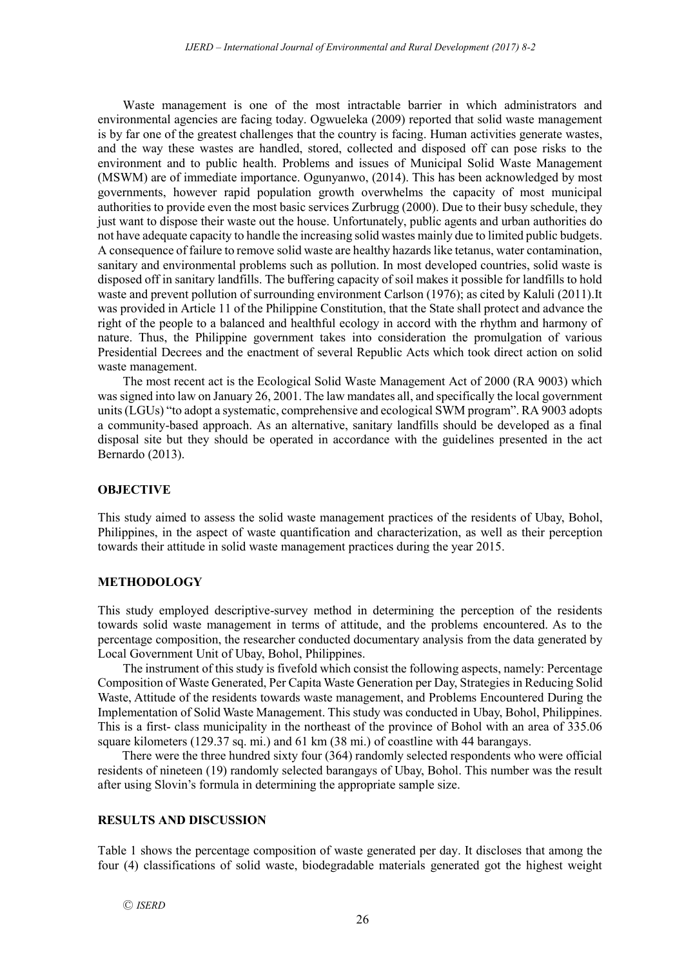Waste management is one of the most intractable barrier in which administrators and environmental agencies are facing today. Ogwueleka (2009) reported that solid waste management is by far one of the greatest challenges that the country is facing. Human activities generate wastes, and the way these wastes are handled, stored, collected and disposed off can pose risks to the environment and to public health. Problems and issues of Municipal Solid Waste Management (MSWM) are of immediate importance. Ogunyanwo, (2014). This has been acknowledged by most governments, however rapid population growth overwhelms the capacity of most municipal authorities to provide even the most basic services Zurbrugg (2000). Due to their busy schedule, they just want to dispose their waste out the house. Unfortunately, public agents and urban authorities do not have adequate capacity to handle the increasing solid wastes mainly due to limited public budgets. A consequence of failure to remove solid waste are healthy hazards like tetanus, water contamination, sanitary and environmental problems such as pollution. In most developed countries, solid waste is disposed off in sanitary landfills. The buffering capacity of soil makes it possible for landfills to hold waste and prevent pollution of surrounding environment Carlson (1976); as cited by Kaluli (2011).It was provided in Article 11 of the Philippine Constitution, that the State shall protect and advance the right of the people to a balanced and healthful ecology in accord with the rhythm and harmony of nature. Thus, the Philippine government takes into consideration the promulgation of various Presidential Decrees and the enactment of several Republic Acts which took direct action on solid waste management.

The most recent act is the Ecological Solid Waste Management Act of 2000 (RA 9003) which was signed into law on January 26, 2001. The law mandates all, and specifically the local government units (LGUs) "to adopt a systematic, comprehensive and ecological SWM program". RA 9003 adopts a community-based approach. As an alternative, sanitary landfills should be developed as a final disposal site but they should be operated in accordance with the guidelines presented in the act Bernardo (2013).

## **OBJECTIVE**

This study aimed to assess the solid waste management practices of the residents of Ubay, Bohol, Philippines, in the aspect of waste quantification and characterization, as well as their perception towards their attitude in solid waste management practices during the year 2015.

## **METHODOLOGY**

This study employed descriptive-survey method in determining the perception of the residents towards solid waste management in terms of attitude, and the problems encountered. As to the percentage composition, the researcher conducted documentary analysis from the data generated by Local Government Unit of Ubay, Bohol, Philippines.

The instrument of this study is fivefold which consist the following aspects, namely: Percentage Composition of Waste Generated, Per Capita Waste Generation per Day, Strategies in Reducing Solid Waste, Attitude of the residents towards waste management, and Problems Encountered During the Implementation of Solid Waste Management. This study was conducted in Ubay, Bohol, Philippines. This is a first- class municipality in the northeast of the province of Bohol with an area of 335.06 square kilometers (129.37 sq. mi.) and 61 km (38 mi.) of coastline with 44 barangays.

There were the three hundred sixty four (364) randomly selected respondents who were official residents of nineteen (19) randomly selected barangays of Ubay, Bohol. This number was the result after using Slovin's formula in determining the appropriate sample size.

## **RESULTS AND DISCUSSION**

Table 1 shows the percentage composition of waste generated per day. It discloses that among the four (4) classifications of solid waste, biodegradable materials generated got the highest weight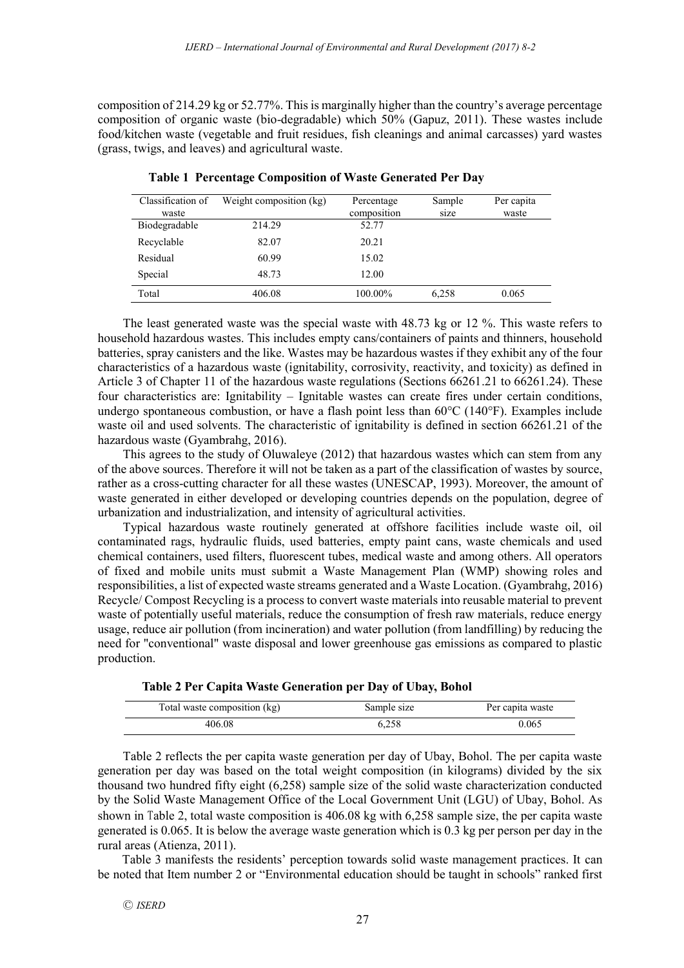composition of 214.29 kg or 52.77%. This is marginally higher than the country's average percentage composition of organic waste (bio-degradable) which 50% (Gapuz, 2011). These wastes include food/kitchen waste (vegetable and fruit residues, fish cleanings and animal carcasses) yard wastes (grass, twigs, and leaves) and agricultural waste.

| Classification of | Weight composition (kg) | Percentage  | Sample | Per capita |
|-------------------|-------------------------|-------------|--------|------------|
| waste             |                         | composition | size   | waste      |
| Biodegradable     | 214.29                  | 52.77       |        |            |
| Recyclable        | 82.07                   | 20.21       |        |            |
| Residual          | 60.99                   | 15.02       |        |            |
| Special           | 48.73                   | 12.00       |        |            |
| Total             | 406.08                  | 100.00%     | 6.258  | 0.065      |

**Table 1 Percentage Composition of Waste Generated Per Day**

The least generated waste was the special waste with 48.73 kg or 12 %. This waste refers to household hazardous wastes. This includes empty cans/containers of paints and thinners, household batteries, spray canisters and the like. Wastes may be hazardous wastes if they exhibit any of the four characteristics of a hazardous waste (ignitability, corrosivity, reactivity, and toxicity) as defined in Article 3 of Chapter 11 of the hazardous waste regulations (Sections 66261.21 to 66261.24). These four characteristics are: Ignitability – Ignitable wastes can create fires under certain conditions, undergo spontaneous combustion, or have a flash point less than 60°C (140°F). Examples include waste oil and used solvents. The characteristic of ignitability is defined in section 66261.21 of the hazardous waste (Gyambrahg, 2016).

This agrees to the study of Oluwaleye (2012) that hazardous wastes which can stem from any of the above sources. Therefore it will not be taken as a part of the classification of wastes by source, rather as a cross-cutting character for all these wastes (UNESCAP, 1993). Moreover, the amount of waste generated in either developed or developing countries depends on the population, degree of urbanization and industrialization, and intensity of agricultural activities.

Typical hazardous waste routinely generated at offshore facilities include waste oil, oil contaminated rags, hydraulic fluids, used batteries, empty paint cans, waste chemicals and used chemical containers, used filters, fluorescent tubes, medical waste and among others. All operators of fixed and mobile units must submit a Waste Management Plan (WMP) showing roles and responsibilities, a list of expected waste streams generated and a Waste Location. (Gyambrahg, 2016) Recycle/ Compost Recycling is a process to convert waste materials into reusable material to prevent waste of potentially useful materials, reduce the consumption of fresh raw materials, reduce energy usage, reduce air pollution (from incineration) and water pollution (from landfilling) by reducing the need for "conventional" waste disposal and lower greenhouse gas emissions as compared to plastic production.

| Total waste composition (kg) | Sample size | Per capita waste |
|------------------------------|-------------|------------------|
| 406.08                       | 6.258       | 0.065            |

Table 2 reflects the per capita waste generation per day of Ubay, Bohol. The per capita waste generation per day was based on the total weight composition (in kilograms) divided by the six thousand two hundred fifty eight (6,258) sample size of the solid waste characterization conducted by the Solid Waste Management Office of the Local Government Unit (LGU) of Ubay, Bohol. As shown in Table 2, total waste composition is 406.08 kg with 6,258 sample size, the per capita waste generated is 0.065. It is below the average waste generation which is 0.3 kg per person per day in the rural areas (Atienza, 2011).

Table 3 manifests the residents' perception towards solid waste management practices. It can be noted that Item number 2 or "Environmental education should be taught in schools" ranked first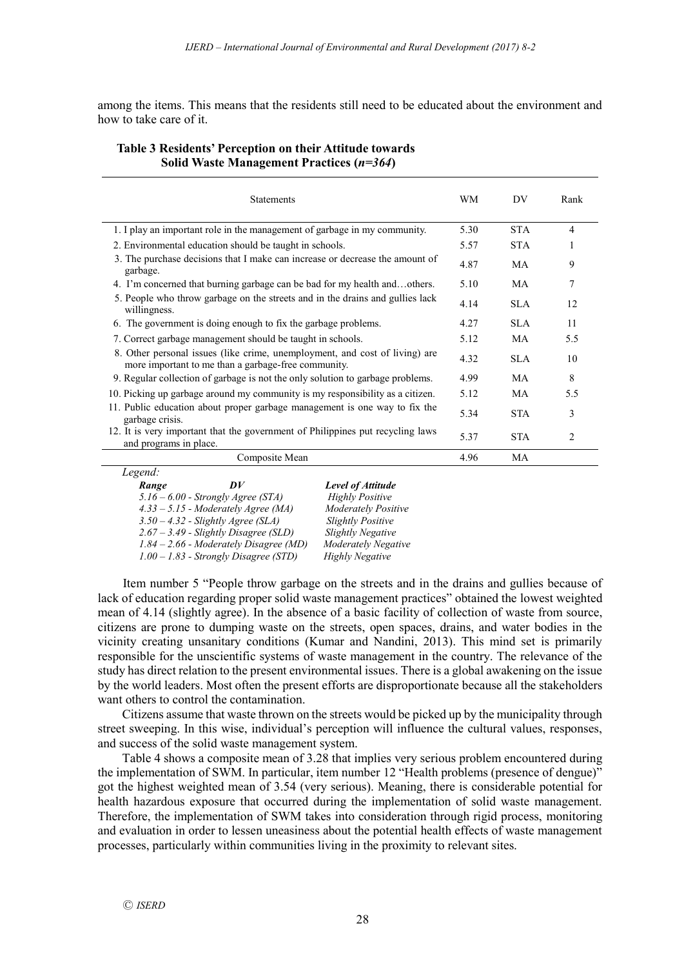among the items. This means that the residents still need to be educated about the environment and how to take care of it.

## **Table 3 Residents' Perception on their Attitude towards Solid Waste Management Practices (***n=364***)**

| <b>Statements</b>                                                                                                                  | WM   | DV         | Rank           |
|------------------------------------------------------------------------------------------------------------------------------------|------|------------|----------------|
| 1. I play an important role in the management of garbage in my community.                                                          | 5.30 | <b>STA</b> | $\overline{4}$ |
| 2. Environmental education should be taught in schools.                                                                            | 5.57 | <b>STA</b> |                |
| 3. The purchase decisions that I make can increase or decrease the amount of<br>garbage.                                           | 4.87 | MA         | 9              |
| 4. I'm concerned that burning garbage can be bad for my health andothers.                                                          | 5.10 | MA         | 7              |
| 5. People who throw garbage on the streets and in the drains and gullies lack<br>willingness.                                      | 4.14 | SLA        | 12             |
| 6. The government is doing enough to fix the garbage problems.                                                                     | 4.27 | SLA.       | 11             |
| 7. Correct garbage management should be taught in schools.                                                                         | 5.12 | MA.        | 5.5            |
| 8. Other personal issues (like crime, unemployment, and cost of living) are<br>more important to me than a garbage-free community. | 4.32 | SLA        | 10             |
| 9. Regular collection of garbage is not the only solution to garbage problems.                                                     | 4.99 | MA         | 8              |
| 10. Picking up garbage around my community is my responsibility as a citizen.                                                      | 5.12 | MA         | 5.5            |
| 11. Public education about proper garbage management is one way to fix the<br>garbage crisis.                                      | 5.34 | <b>STA</b> | 3              |
| 12. It is very important that the government of Philippines put recycling laws<br>and programs in place.                           | 5.37 | <b>STA</b> | $\mathfrak{D}$ |
| Composite Mean                                                                                                                     | 4.96 | MA         |                |
| Legend:                                                                                                                            |      |            |                |

| Legena. |                                          |                            |
|---------|------------------------------------------|----------------------------|
| Range   | $\overline{D}V$                          | <b>Level of Attitude</b>   |
|         | $5.16 - 6.00$ - Strongly Agree (STA)     | <b>Highly Positive</b>     |
|         | $4.33 - 5.15$ - Moderately Agree (MA)    | <b>Moderately Positive</b> |
|         | $3.50 - 4.32$ - Slightly Agree (SLA)     | <b>Slightly Positive</b>   |
|         | $2.67 - 3.49$ - Slightly Disagree (SLD)  | <b>Slightly Negative</b>   |
|         | $1.84 - 2.66$ - Moderately Disagree (MD) | <b>Moderately Negative</b> |
|         | $1.00 - 1.83$ - Strongly Disagree (STD)  | <b>Highly Negative</b>     |

Item number 5 "People throw garbage on the streets and in the drains and gullies because of lack of education regarding proper solid waste management practices" obtained the lowest weighted mean of 4.14 (slightly agree). In the absence of a basic facility of collection of waste from source, citizens are prone to dumping waste on the streets, open spaces, drains, and water bodies in the vicinity creating unsanitary conditions (Kumar and Nandini, 2013). This mind set is primarily responsible for the unscientific systems of waste management in the country. The relevance of the study has direct relation to the present environmental issues. There is a global awakening on the issue by the world leaders. Most often the present efforts are disproportionate because all the stakeholders want others to control the contamination.

Citizens assume that waste thrown on the streets would be picked up by the municipality through street sweeping. In this wise, individual's perception will influence the cultural values, responses, and success of the solid waste management system.

Table 4 shows a composite mean of 3.28 that implies very serious problem encountered during the implementation of SWM. In particular, item number 12 "Health problems (presence of dengue)" got the highest weighted mean of 3.54 (very serious). Meaning, there is considerable potential for health hazardous exposure that occurred during the implementation of solid waste management. Therefore, the implementation of SWM takes into consideration through rigid process, monitoring and evaluation in order to lessen uneasiness about the potential health effects of waste management processes, particularly within communities living in the proximity to relevant sites.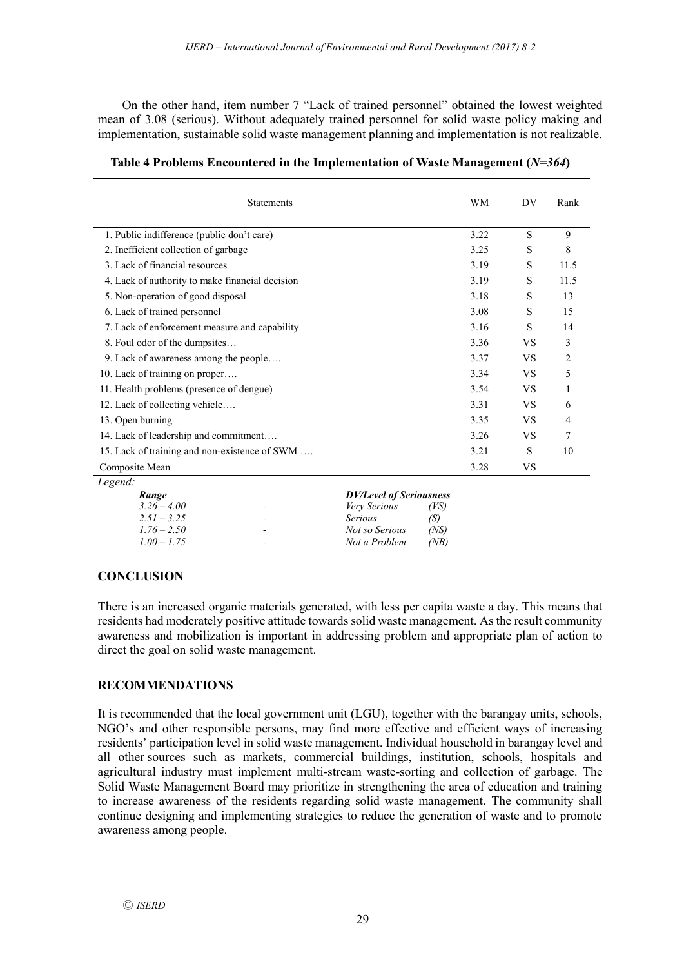On the other hand, item number 7 "Lack of trained personnel" obtained the lowest weighted mean of 3.08 (serious). Without adequately trained personnel for solid waste policy making and implementation, sustainable solid waste management planning and implementation is not realizable.

| <b>Statements</b>                               | WМ   | DV        | Rank |
|-------------------------------------------------|------|-----------|------|
| 1. Public indifference (public don't care)      | 3.22 | S         | 9    |
| 2. Inefficient collection of garbage            | 3.25 | S         | 8    |
| 3. Lack of financial resources                  | 3.19 | S         | 11.5 |
| 4. Lack of authority to make financial decision | 3.19 | S         | 11.5 |
| 5. Non-operation of good disposal               | 3.18 | S         | 13   |
| 6. Lack of trained personnel                    | 3.08 | S         | 15   |
| 7. Lack of enforcement measure and capability   | 3.16 | S         | 14   |
| 8. Foul odor of the dumpsites                   | 3.36 | <b>VS</b> | 3    |
| 9. Lack of awareness among the people           | 3.37 | <b>VS</b> | 2    |
| 10. Lack of training on proper                  | 3.34 | <b>VS</b> | 5    |
| 11. Health problems (presence of dengue)        | 3.54 | <b>VS</b> |      |
| 12. Lack of collecting vehicle                  | 3.31 | <b>VS</b> | 6    |
| 13. Open burning                                | 3.35 | <b>VS</b> | 4    |
| 14. Lack of leadership and commitment           | 3.26 | <b>VS</b> | 7    |
| 15. Lack of training and non-existence of SWM   | 3.21 | S         | 10   |
| Composite Mean                                  | 3.28 | VS.       |      |
| Legend:                                         |      |           |      |

| Table 4 Problems Encountered in the Implementation of Waste Management $(N=364)$ |  |  |
|----------------------------------------------------------------------------------|--|--|
|----------------------------------------------------------------------------------|--|--|

| и.            |                          |                |                                |  |
|---------------|--------------------------|----------------|--------------------------------|--|
| Range         |                          |                | <b>DV/Level of Seriousness</b> |  |
| $3.26 - 4.00$ | $\overline{\phantom{0}}$ | Very Serious   | (VS)                           |  |
| $2.51 - 3.25$ | $\overline{\phantom{0}}$ | <i>Serious</i> | (S)                            |  |
| $1.76 - 2.50$ | $\overline{\phantom{0}}$ | Not so Serious | (NS)                           |  |
| $1.00 - 1.75$ | -                        | Not a Problem  | (NB)                           |  |
|               |                          |                |                                |  |

## **CONCLUSION**

There is an increased organic materials generated, with less per capita waste a day. This means that residents had moderately positive attitude towards solid waste management. As the result community awareness and mobilization is important in addressing problem and appropriate plan of action to direct the goal on solid waste management.

## **RECOMMENDATIONS**

It is recommended that the local government unit (LGU), together with the barangay units, schools, NGO's and other responsible persons, may find more effective and efficient ways of increasing residents' participation level in solid waste management. Individual household in barangay level and all other sources such as markets, commercial buildings, institution, schools, hospitals and agricultural industry must implement multi-stream waste-sorting and collection of garbage. The Solid Waste Management Board may prioritize in strengthening the area of education and training to increase awareness of the residents regarding solid waste management. The community shall continue designing and implementing strategies to reduce the generation of waste and to promote awareness among people.